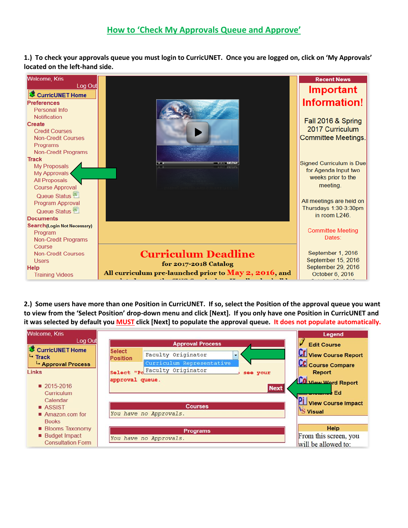**1.) To check your approvals queue you must login to CurricUNET. Once you are logged on, click on 'My Approvals' located on the left-hand side.**



**2.) Some users have more than one Position in CurricUNET. If so, select the Position of the approval queue you want to view from the 'Select Position' drop-down menu and click [Next]. If you only have one Position in CurricUNET and it was selected by default you MUST click [Next] to populate the approval queue. It does not populate automatically.**

| <b>Welcome, Kris</b>                                   |                                                                                     | Legend                                                            |
|--------------------------------------------------------|-------------------------------------------------------------------------------------|-------------------------------------------------------------------|
| Log Out                                                | <b>Approval Process</b>                                                             | <b>Edit Course</b>                                                |
| CurricUNET Home<br>L- Track<br>Approval Process        | <b>Select</b><br>Faculty Originator<br><b>Position</b><br>Curriculum Representative | <b>CE</b> View Course Report<br>CC Course Compare                 |
| Links                                                  | Select "Po Faculty Originator<br>see your                                           | <b>Report</b>                                                     |
| ■ 2015-2016<br>Curriculum<br>Calendar<br><b>ASSIST</b> | approval queue.<br><b>Courses</b>                                                   | Co View Word Report<br><b>Next</b><br>Ed<br>"I View Course Impact |
| Amazon.com for<br><b>Books</b>                         | You have no Approvals.                                                              | 'S Visual                                                         |
| <b>Blooms Taxonomy</b>                                 | <b>Programs</b>                                                                     | Help                                                              |
| <b>Budget Impact</b><br><b>Consultation Form</b>       | You have no Approvals.                                                              | From this screen, you<br>will be allowed to:                      |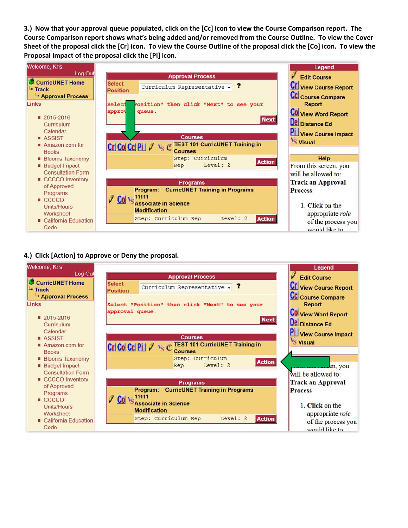**3.) Now that your approval queue populated, click on the [Cc] icon to view the Course Comparison report. The Course Comparison report shows what's being added and/or removed from the Course Outline. To view the Cover Sheet of the proposal click the [Cr] icon. To view the Course Outline of the proposal click the [Co] icon. To view the Proposal Impact of the proposal click the [Pi] icon.**



## **4.) Click [Action] to Approve or Deny the proposal.**